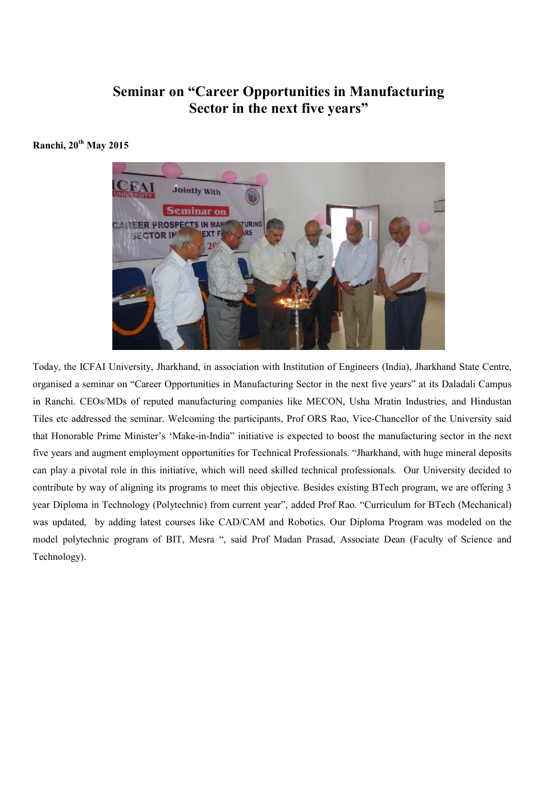## Seminar on "Career Opportunities in Manufacturing Sector in the next five years"

## Ranchi, 20<sup>th</sup> May 2015



Today, the ICFAI University, Jharkhand, in association with Institution of Engineers (India), Jharkhand State Centre, organised a seminar on "Career Opportunities in Manufacturing Sector in the next five years" at its Daladali Campus in Ranchi. CEOs/MDs of reputed manufacturing companies like MECON, Usha Mratin Industries, and Hindustan Tiles etc addressed the seminar. Welcoming the participants, Prof ORS Rao, Vice-Chancellor of the University said that Honorable Prime Minister's 'Make-in-India" initiative is expected to boost the manufacturing sector in the next five years and augment employment opportunities for Technical Professionals. "Jharkhand, with huge mineral deposits can play a pivotal role in this initiative, which will need skilled technical professionals. Our University decided to contribute by way of aligning its programs to meet this objective. Besides existing BTech program, we are offering 3 year Diploma in Technology (Polytechnic) from current year", added Prof Rao. "Curriculum for BTech (Mechanical) was updated, by adding latest courses like CAD/CAM and Robotics. Our Diploma Program was modeled on the model polytechnic program of BIT, Mesra ", said Prof Madan Prasad, Associate Dean (Faculty of Science and Technology).